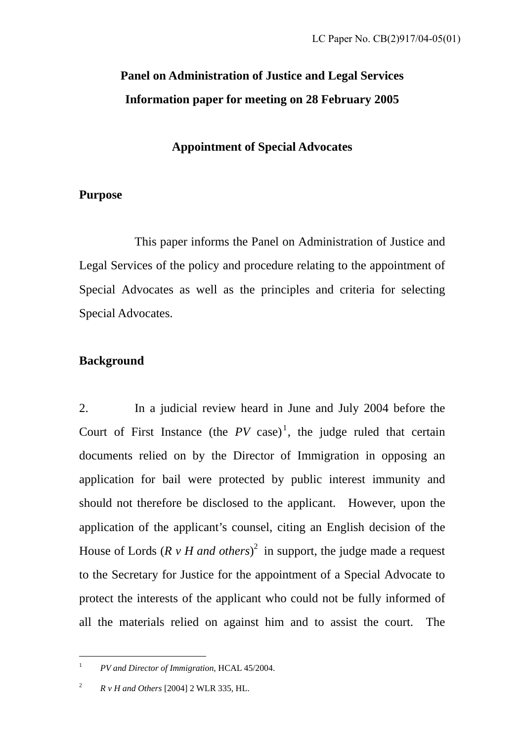# **Panel on Administration of Justice and Legal Services Information paper for meeting on 28 February 2005**

## **Appointment of Special Advocates**

### **Purpose**

This paper informs the Panel on Administration of Justice and Legal Services of the policy and procedure relating to the appointment of Special Advocates as well as the principles and criteria for selecting Special Advocates.

## **Background**

 $\overline{a}$ 

2. In a judicial review heard in June and July 2004 before the Court of First Instance (the  $PV$  case)<sup>1</sup>, the judge ruled that certain documents relied on by the Director of Immigration in opposing an application for bail were protected by public interest immunity and should not therefore be disclosed to the applicant. However, upon the application of the applicant's counsel, citing an English decision of the House of Lords ( $R v H$  and others)<sup>2</sup> in support, the judge made a request to the Secretary for Justice for the appointment of a Special Advocate to protect the interests of the applicant who could not be fully informed of all the materials relied on against him and to assist the court. The

<sup>1</sup> *PV and Director of Immigration,* HCAL 45/2004.

<sup>2</sup> *R v H and Others* [2004] 2 WLR 335, HL.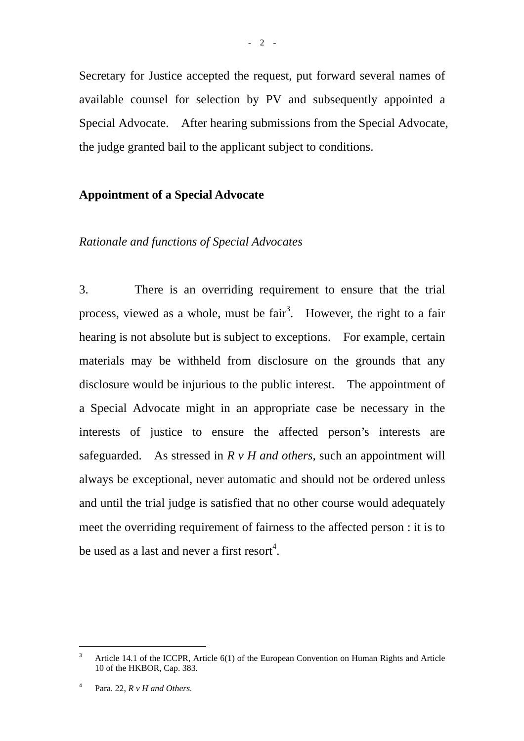Secretary for Justice accepted the request, put forward several names of available counsel for selection by PV and subsequently appointed a Special Advocate. After hearing submissions from the Special Advocate, the judge granted bail to the applicant subject to conditions.

### **Appointment of a Special Advocate**

### *Rationale and functions of Special Advocates*

3. There is an overriding requirement to ensure that the trial process, viewed as a whole, must be  $fair<sup>3</sup>$ . However, the right to a fair hearing is not absolute but is subject to exceptions. For example, certain materials may be withheld from disclosure on the grounds that any disclosure would be injurious to the public interest. The appointment of a Special Advocate might in an appropriate case be necessary in the interests of justice to ensure the affected person's interests are safeguarded. As stressed in *R v H and others,* such an appointment will always be exceptional, never automatic and should not be ordered unless and until the trial judge is satisfied that no other course would adequately meet the overriding requirement of fairness to the affected person : it is to be used as a last and never a first resort<sup>4</sup>.

 $\overline{a}$ 

- 2 -

<sup>3</sup> Article 14.1 of the ICCPR, Article 6(1) of the European Convention on Human Rights and Article 10 of the HKBOR, Cap. 383.

<sup>4</sup> Para. 22, *R v H and Others.*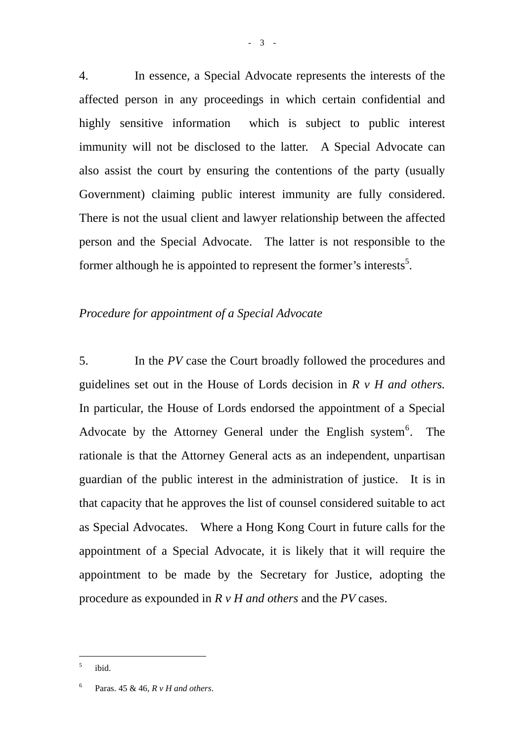4. In essence, a Special Advocate represents the interests of the affected person in any proceedings in which certain confidential and highly sensitive information which is subject to public interest immunity will not be disclosed to the latter. A Special Advocate can also assist the court by ensuring the contentions of the party (usually Government) claiming public interest immunity are fully considered. There is not the usual client and lawyer relationship between the affected person and the Special Advocate. The latter is not responsible to the former although he is appointed to represent the former's interests<sup>5</sup>.

## *Procedure for appointment of a Special Advocate*

5. In the *PV* case the Court broadly followed the procedures and guidelines set out in the House of Lords decision in *R v H and others.*  In particular, the House of Lords endorsed the appointment of a Special Advocate by the Attorney General under the English system $6$ . The rationale is that the Attorney General acts as an independent, unpartisan guardian of the public interest in the administration of justice. It is in that capacity that he approves the list of counsel considered suitable to act as Special Advocates. Where a Hong Kong Court in future calls for the appointment of a Special Advocate, it is likely that it will require the appointment to be made by the Secretary for Justice, adopting the procedure as expounded in *R v H and others* and the *PV* cases.

 $\overline{a}$ 

<sup>5</sup> ibid.

<sup>6</sup> Paras. 45 & 46, *R v H and others*.